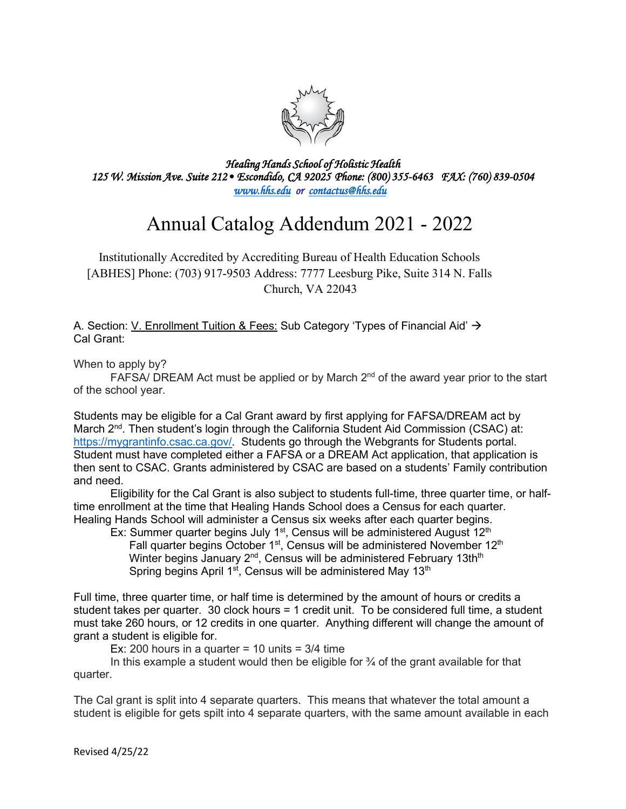

*Healing Hands School of Holistic Health 125 W. Mission Ave. Suite 212• Escondido, CA 92025 Phone: (800) 355-6463 FAX: (760) 839-0504 [www.hhs.edu](http://www.hhs.edu/) or [contactus@hhs.edu](mailto:contactus@hhs.edu)* 

## Annual Catalog Addendum 2021 - 2022

Institutionally Accredited by Accrediting Bureau of Health Education Schools [ABHES] Phone: (703) 917-9503 Address: 7777 Leesburg Pike, Suite 314 N. Falls Church, VA 22043

A. Section: V. Enrollment Tuition & Fees: Sub Category 'Types of Financial Aid'  $\rightarrow$ Cal Grant:

When to apply by?

FAFSA/ DREAM Act must be applied or by March  $2^{nd}$  of the award year prior to the start of the school year.

Students may be eligible for a Cal Grant award by first applying for FAFSA/DREAM act by March 2<sup>nd</sup>. Then student's login through the California Student Aid Commission (CSAC) at: [https://mygrantinfo.csac.ca.gov/.](https://mygrantinfo.csac.ca.gov/) Students go through the Webgrants for Students portal. Student must have completed either a FAFSA or a DREAM Act application, that application is then sent to CSAC. Grants administered by CSAC are based on a students' Family contribution and need.

Eligibility for the Cal Grant is also subject to students full-time, three quarter time, or halftime enrollment at the time that Healing Hands School does a Census for each quarter. Healing Hands School will administer a Census six weeks after each quarter begins.

Ex: Summer quarter begins July 1<sup>st</sup>, Census will be administered August  $12<sup>th</sup>$ Fall quarter begins October 1<sup>st</sup>, Census will be administered November 12<sup>th</sup> Winter begins January  $2^{nd}$ , Census will be administered February 13th<sup>th</sup> Spring begins April  $1^{st}$ , Census will be administered May  $13^{th}$ 

Full time, three quarter time, or half time is determined by the amount of hours or credits a student takes per quarter. 30 clock hours = 1 credit unit. To be considered full time, a student must take 260 hours, or 12 credits in one quarter. Anything different will change the amount of grant a student is eligible for.

Ex: 200 hours in a quarter  $= 10$  units  $= 3/4$  time

In this example a student would then be eligible for  $\frac{3}{4}$  of the grant available for that quarter.

The Cal grant is split into 4 separate quarters. This means that whatever the total amount a student is eligible for gets spilt into 4 separate quarters, with the same amount available in each